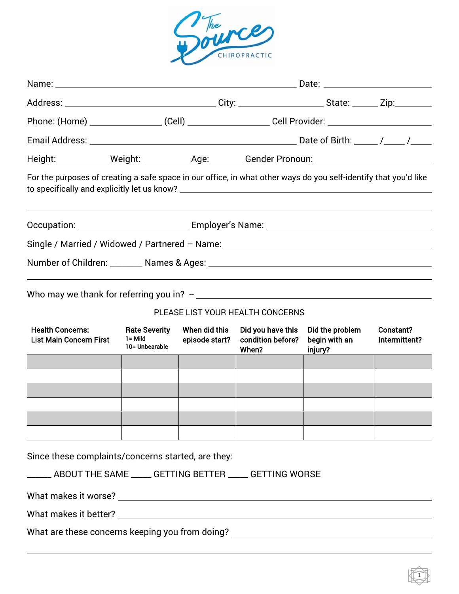

|                                                                                                                  |                                                      |                                 | Phone: (Home) ____________________(Cell) ______________________Cell Provider: _______________________________ |                                             |                            |
|------------------------------------------------------------------------------------------------------------------|------------------------------------------------------|---------------------------------|---------------------------------------------------------------------------------------------------------------|---------------------------------------------|----------------------------|
|                                                                                                                  |                                                      |                                 |                                                                                                               |                                             |                            |
| Height: Weight: Weight: New Age: Cander Pronoun: Neight: Neight: Neight: Neight: Neight: Neight: Neight: Neigh   |                                                      |                                 |                                                                                                               |                                             |                            |
| For the purposes of creating a safe space in our office, in what other ways do you self-identify that you'd like |                                                      |                                 |                                                                                                               |                                             |                            |
|                                                                                                                  |                                                      |                                 |                                                                                                               |                                             |                            |
| Single / Married / Widowed / Partnered - Name: _________________________________                                 |                                                      |                                 |                                                                                                               |                                             |                            |
|                                                                                                                  |                                                      |                                 |                                                                                                               |                                             |                            |
|                                                                                                                  |                                                      |                                 | PLEASE LIST YOUR HEALTH CONCERNS                                                                              |                                             |                            |
| <b>Health Concerns:</b><br><b>List Main Concern First</b>                                                        | <b>Rate Severity</b><br>$1 =$ Mild<br>10= Unbearable | When did this<br>episode start? | Did you have this<br>condition before?<br>When?                                                               | Did the problem<br>begin with an<br>injury? | Constant?<br>Intermittent? |
|                                                                                                                  |                                                      |                                 |                                                                                                               |                                             |                            |
|                                                                                                                  |                                                      |                                 |                                                                                                               |                                             |                            |
|                                                                                                                  |                                                      |                                 |                                                                                                               |                                             |                            |
|                                                                                                                  |                                                      |                                 |                                                                                                               |                                             |                            |
|                                                                                                                  |                                                      |                                 |                                                                                                               |                                             |                            |
| Since these complaints/concerns started, are they:                                                               |                                                      |                                 |                                                                                                               |                                             |                            |
| ______ ABOUT THE SAME _____ GETTING BETTER ____ GETTING WORSE                                                    |                                                      |                                 |                                                                                                               |                                             |                            |
|                                                                                                                  |                                                      |                                 |                                                                                                               |                                             |                            |
|                                                                                                                  |                                                      |                                 |                                                                                                               |                                             |                            |
| What are these concerns keeping you from doing? _________________________________                                |                                                      |                                 |                                                                                                               |                                             |                            |

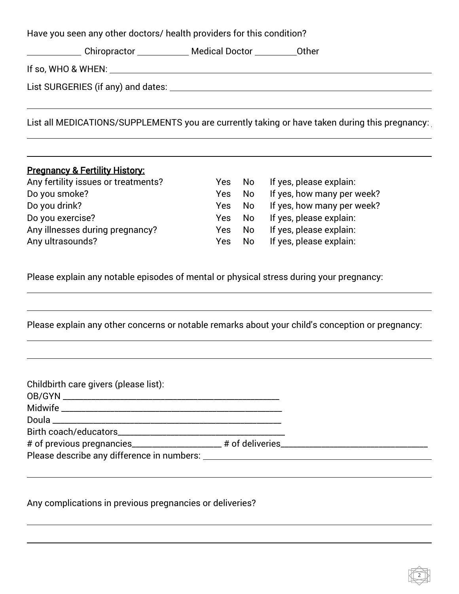|  | Have you seen any other doctors/ health providers for this condition? |  |
|--|-----------------------------------------------------------------------|--|
|  | Chiropractor ____________ Medical Doctor ___________ Other            |  |
|  | If so, WHO & WHEN: $\qquad \qquad$                                    |  |
|  |                                                                       |  |
|  |                                                                       |  |

List all MEDICATIONS/SUPPLEMENTS you are currently taking or have taken during this pregnancy:

## Pregnancy & Fertility History:

| Any fertility issues or treatments? | Yes.       | No.  | If yes, please explain:    |
|-------------------------------------|------------|------|----------------------------|
| Do you smoke?                       | <b>Yes</b> | No   | If yes, how many per week? |
| Do you drink?                       | Yes.       | - No | If yes, how many per week? |
| Do you exercise?                    | Yes.       | . No | If yes, please explain:    |
| Any illnesses during pregnancy?     | <b>Yes</b> | No.  | If yes, please explain:    |
| Any ultrasounds?                    | Yes.       | No   | If yes, please explain:    |

Please explain any notable episodes of mental or physical stress during your pregnancy:

Please explain any other concerns or notable remarks about your child's conception or pregnancy:

Any complications in previous pregnancies or deliveries?